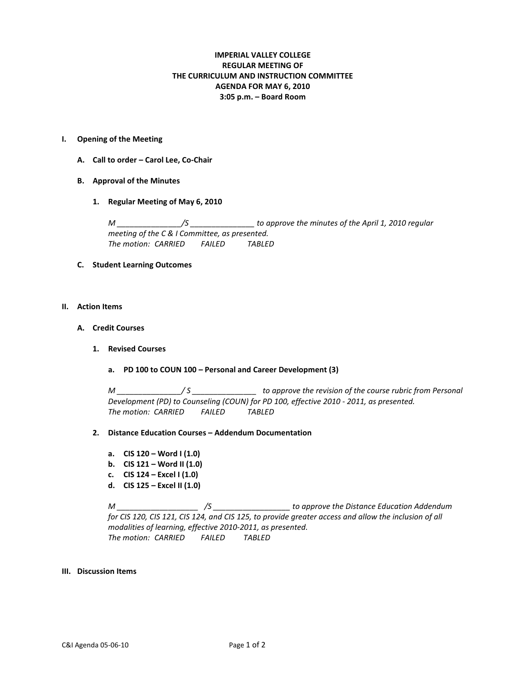# **IMPERIAL VALLEY COLLEGE REGULAR MEETING OF THE CURRICULUM AND INSTRUCTION COMMITTEE AGENDA FOR MAY 6, 2010 3:05 p.m. – Board Room**

#### **I. Opening of the Meeting**

- **A. Call to order – Carol Lee, Co-Chair**
- **B. Approval of the Minutes**
	- **1. Regular Meeting of May 6, 2010**

*M \_\_\_\_\_\_\_\_\_\_\_\_\_\_\_/S \_\_\_\_\_\_\_\_\_\_\_\_\_\_\_ to approve the minutes of the April 1, 2010 regular meeting of the C & I Committee, as presented. The motion: CARRIED FAILED TABLED*

## **C. Student Learning Outcomes**

#### **II. Action Items**

- **A. Credit Courses**
	- **1. Revised Courses**
		- **a. PD 100 to COUN 100 – Personal and Career Development (3)**

*M \_\_\_\_\_\_\_\_\_\_\_\_\_\_\_/ S \_\_\_\_\_\_\_\_\_\_\_\_\_\_\_ to approve the revision of the course rubric from Personal Development (PD) to Counseling (COUN) for PD 100, effective 2010 - 2011, as presented. The motion: CARRIED FAILED TABLED*

### **2. Distance Education Courses – Addendum Documentation**

- **a. CIS 120 – Word I (1.0)**
- **b. CIS 121 – Word II (1.0)**
- **c. CIS 124 – Excel I (1.0)**
- **d. CIS 125 – Excel II (1.0)**

*M \_\_\_\_\_\_\_\_\_\_\_\_\_\_\_\_\_\_\_ /S \_\_\_\_\_\_\_\_\_\_\_\_\_\_\_\_\_\_ to approve the Distance Education Addendum for CIS 120, CIS 121, CIS 124, and CIS 125, to provide greater access and allow the inclusion of all modalities of learning, effective 2010-2011, as presented. The motion: CARRIED FAILED TABLED*

#### **III. Discussion Items**